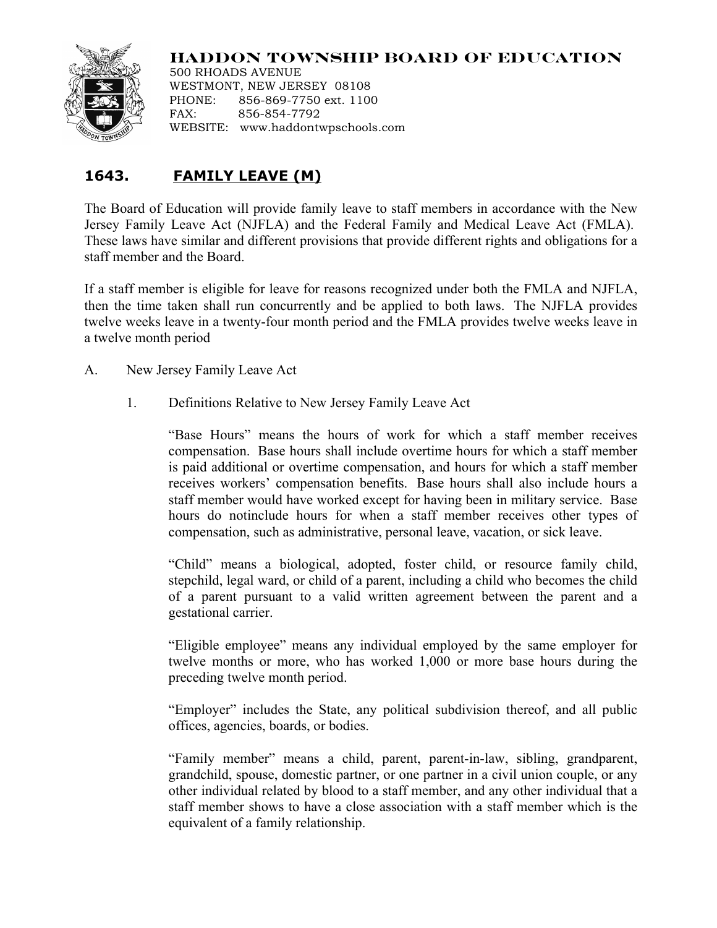## **HADDON TOWNSHIP BOARD OF EDUCATION**



500 RHOADS AVENUE WESTMONT, NEW JERSEY 08108 PHONE: 856-869-7750 ext. 1100 FAX: 856-854-7792 WEBSITE: www.haddontwpschools.com

## **1643. FAMILY LEAVE (M)**

The Board of Education will provide family leave to staff members in accordance with the New Jersey Family Leave Act (NJFLA) and the Federal Family and Medical Leave Act (FMLA). These laws have similar and different provisions that provide different rights and obligations for a staff member and the Board.

If a staff member is eligible for leave for reasons recognized under both the FMLA and NJFLA, then the time taken shall run concurrently and be applied to both laws. The NJFLA provides twelve weeks leave in a twenty-four month period and the FMLA provides twelve weeks leave in a twelve month period

A. New Jersey Family Leave Act

1. Definitions Relative to New Jersey Family Leave Act

"Base Hours" means the hours of work for which a staff member receives compensation. Base hours shall include overtime hours for which a staff member is paid additional or overtime compensation, and hours for which a staff member receives workers' compensation benefits. Base hours shall also include hours a staff member would have worked except for having been in military service. Base hours do notinclude hours for when a staff member receives other types of compensation, such as administrative, personal leave, vacation, or sick leave.

"Child" means a biological, adopted, foster child, or resource family child, stepchild, legal ward, or child of a parent, including a child who becomes the child of a parent pursuant to a valid written agreement between the parent and a gestational carrier.

"Eligible employee" means any individual employed by the same employer for twelve months or more, who has worked 1,000 or more base hours during the preceding twelve month period.

"Employer" includes the State, any political subdivision thereof, and all public offices, agencies, boards, or bodies.

"Family member" means a child, parent, parent-in-law, sibling, grandparent, grandchild, spouse, domestic partner, or one partner in a civil union couple, or any other individual related by blood to a staff member, and any other individual that a staff member shows to have a close association with a staff member which is the equivalent of a family relationship.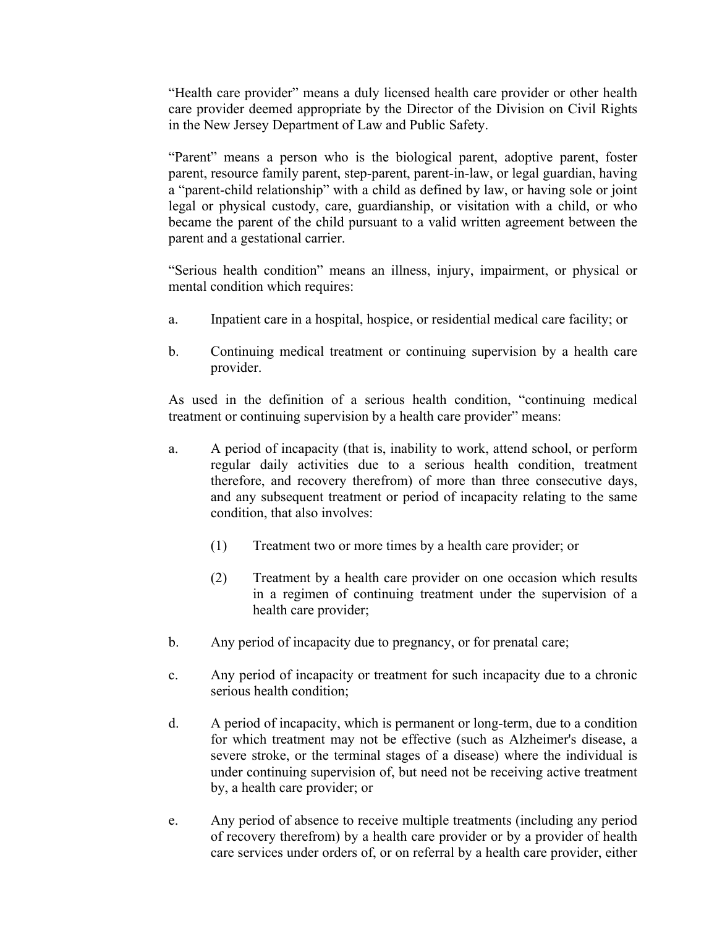"Health care provider" means a duly licensed health care provider or other health care provider deemed appropriate by the Director of the Division on Civil Rights in the New Jersey Department of Law and Public Safety.

"Parent" means a person who is the biological parent, adoptive parent, foster parent, resource family parent, step-parent, parent-in-law, or legal guardian, having a "parent-child relationship" with a child as defined by law, or having sole or joint legal or physical custody, care, guardianship, or visitation with a child, or who became the parent of the child pursuant to a valid written agreement between the parent and a gestational carrier.

"Serious health condition" means an illness, injury, impairment, or physical or mental condition which requires:

- a. Inpatient care in a hospital, hospice, or residential medical care facility; or
- b. Continuing medical treatment or continuing supervision by a health care provider.

As used in the definition of a serious health condition, "continuing medical treatment or continuing supervision by a health care provider" means:

- a. A period of incapacity (that is, inability to work, attend school, or perform regular daily activities due to a serious health condition, treatment therefore, and recovery therefrom) of more than three consecutive days, and any subsequent treatment or period of incapacity relating to the same condition, that also involves:
	- (1) Treatment two or more times by a health care provider; or
	- (2) Treatment by a health care provider on one occasion which results in a regimen of continuing treatment under the supervision of a health care provider;
- b. Any period of incapacity due to pregnancy, or for prenatal care;
- c. Any period of incapacity or treatment for such incapacity due to a chronic serious health condition;
- d. A period of incapacity, which is permanent or long-term, due to a condition for which treatment may not be effective (such as Alzheimer's disease, a severe stroke, or the terminal stages of a disease) where the individual is under continuing supervision of, but need not be receiving active treatment by, a health care provider; or
- e. Any period of absence to receive multiple treatments (including any period of recovery therefrom) by a health care provider or by a provider of health care services under orders of, or on referral by a health care provider, either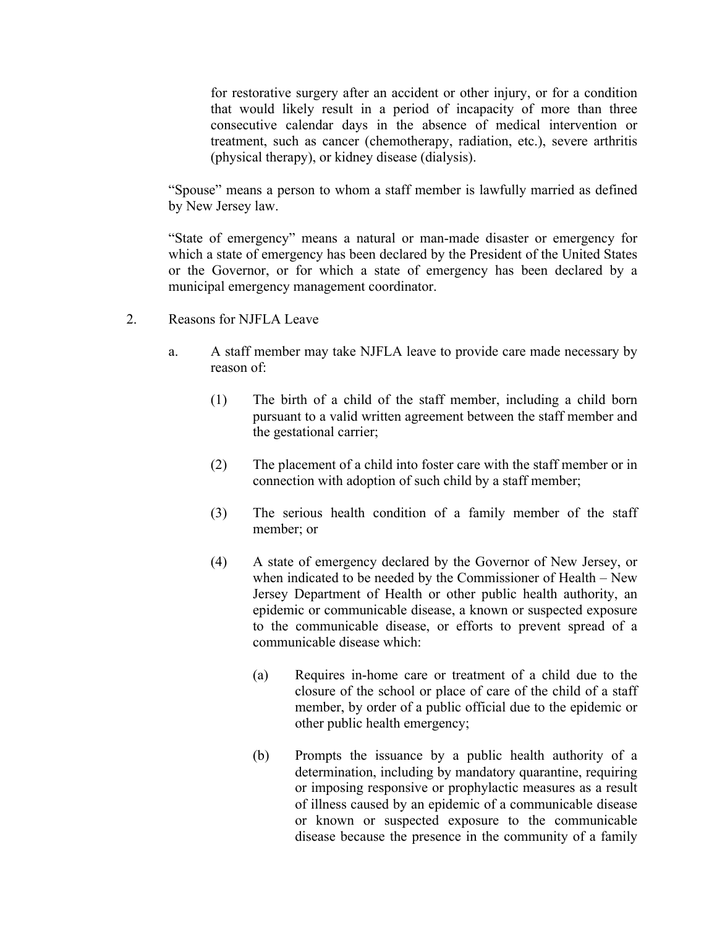for restorative surgery after an accident or other injury, or for a condition that would likely result in a period of incapacity of more than three consecutive calendar days in the absence of medical intervention or treatment, such as cancer (chemotherapy, radiation, etc.), severe arthritis (physical therapy), or kidney disease (dialysis).

"Spouse" means a person to whom a staff member is lawfully married as defined by New Jersey law.

"State of emergency" means a natural or man-made disaster or emergency for which a state of emergency has been declared by the President of the United States or the Governor, or for which a state of emergency has been declared by a municipal emergency management coordinator.

- 2. Reasons for NJFLA Leave
	- a. A staff member may take NJFLA leave to provide care made necessary by reason of:
		- (1) The birth of a child of the staff member, including a child born pursuant to a valid written agreement between the staff member and the gestational carrier;
		- (2) The placement of a child into foster care with the staff member or in connection with adoption of such child by a staff member;
		- (3) The serious health condition of a family member of the staff member; or
		- (4) A state of emergency declared by the Governor of New Jersey, or when indicated to be needed by the Commissioner of Health – New Jersey Department of Health or other public health authority, an epidemic or communicable disease, a known or suspected exposure to the communicable disease, or efforts to prevent spread of a communicable disease which:
			- (a) Requires in-home care or treatment of a child due to the closure of the school or place of care of the child of a staff member, by order of a public official due to the epidemic or other public health emergency;
			- (b) Prompts the issuance by a public health authority of a determination, including by mandatory quarantine, requiring or imposing responsive or prophylactic measures as a result of illness caused by an epidemic of a communicable disease or known or suspected exposure to the communicable disease because the presence in the community of a family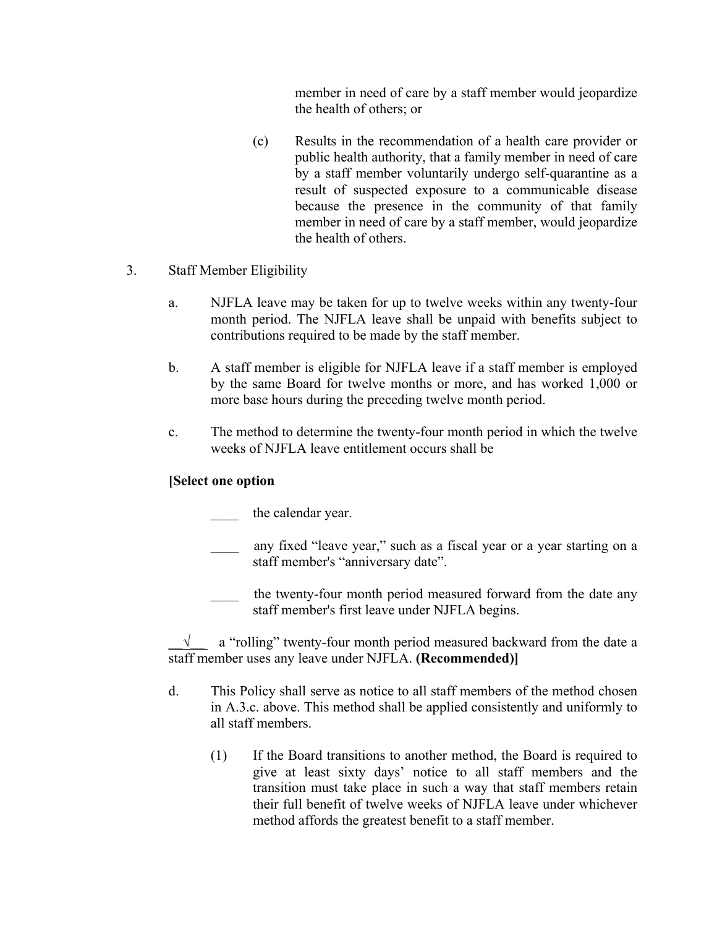member in need of care by a staff member would jeopardize the health of others; or

- (c) Results in the recommendation of a health care provider or public health authority, that a family member in need of care by a staff member voluntarily undergo self-quarantine as a result of suspected exposure to a communicable disease because the presence in the community of that family member in need of care by a staff member, would jeopardize the health of others.
- 3. Staff Member Eligibility
	- a. NJFLA leave may be taken for up to twelve weeks within any twenty-four month period. The NJFLA leave shall be unpaid with benefits subject to contributions required to be made by the staff member.
	- b. A staff member is eligible for NJFLA leave if a staff member is employed by the same Board for twelve months or more, and has worked 1,000 or more base hours during the preceding twelve month period.
	- c. The method to determine the twenty-four month period in which the twelve weeks of NJFLA leave entitlement occurs shall be

## **[Select one option**

the calendar year.

- any fixed "leave year," such as a fiscal year or a year starting on a staff member's "anniversary date".
	- the twenty-four month period measured forward from the date any staff member's first leave under NJFLA begins.

**\_\_√\_\_** a "rolling" twenty-four month period measured backward from the date a staff member uses any leave under NJFLA. **(Recommended)]**

- d. This Policy shall serve as notice to all staff members of the method chosen in A.3.c. above. This method shall be applied consistently and uniformly to all staff members.
	- (1) If the Board transitions to another method, the Board is required to give at least sixty days' notice to all staff members and the transition must take place in such a way that staff members retain their full benefit of twelve weeks of NJFLA leave under whichever method affords the greatest benefit to a staff member.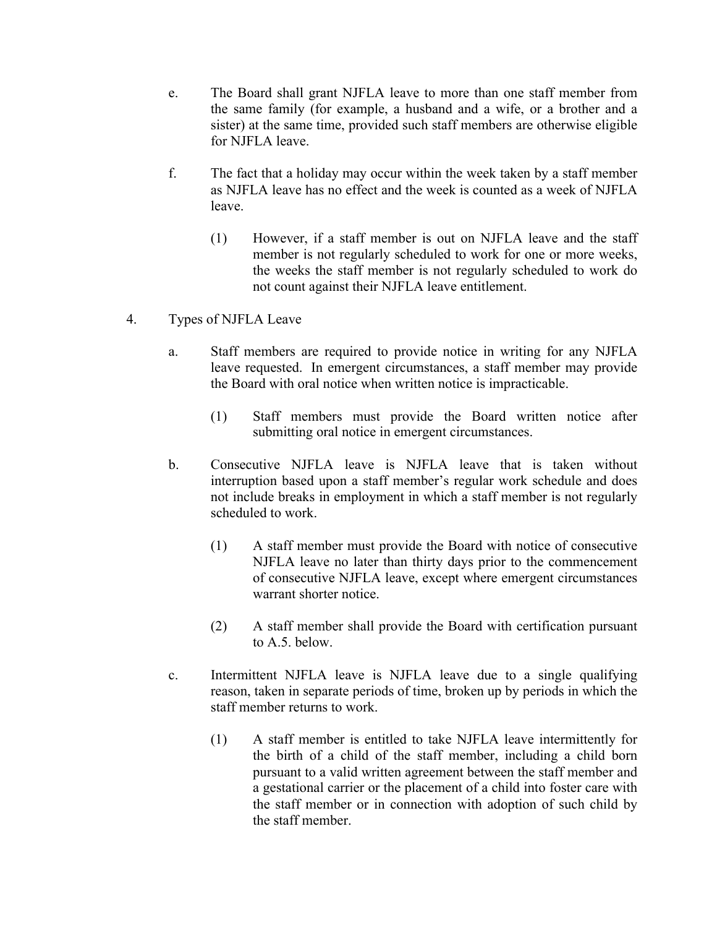- e. The Board shall grant NJFLA leave to more than one staff member from the same family (for example, a husband and a wife, or a brother and a sister) at the same time, provided such staff members are otherwise eligible for NJFLA leave.
- f. The fact that a holiday may occur within the week taken by a staff member as NJFLA leave has no effect and the week is counted as a week of NJFLA leave.
	- (1) However, if a staff member is out on NJFLA leave and the staff member is not regularly scheduled to work for one or more weeks, the weeks the staff member is not regularly scheduled to work do not count against their NJFLA leave entitlement.
- 4. Types of NJFLA Leave
	- a. Staff members are required to provide notice in writing for any NJFLA leave requested. In emergent circumstances, a staff member may provide the Board with oral notice when written notice is impracticable.
		- (1) Staff members must provide the Board written notice after submitting oral notice in emergent circumstances.
	- b. Consecutive NJFLA leave is NJFLA leave that is taken without interruption based upon a staff member's regular work schedule and does not include breaks in employment in which a staff member is not regularly scheduled to work.
		- (1) A staff member must provide the Board with notice of consecutive NJFLA leave no later than thirty days prior to the commencement of consecutive NJFLA leave, except where emergent circumstances warrant shorter notice.
		- (2) A staff member shall provide the Board with certification pursuant to A.5. below.
	- c. Intermittent NJFLA leave is NJFLA leave due to a single qualifying reason, taken in separate periods of time, broken up by periods in which the staff member returns to work.
		- (1) A staff member is entitled to take NJFLA leave intermittently for the birth of a child of the staff member, including a child born pursuant to a valid written agreement between the staff member and a gestational carrier or the placement of a child into foster care with the staff member or in connection with adoption of such child by the staff member.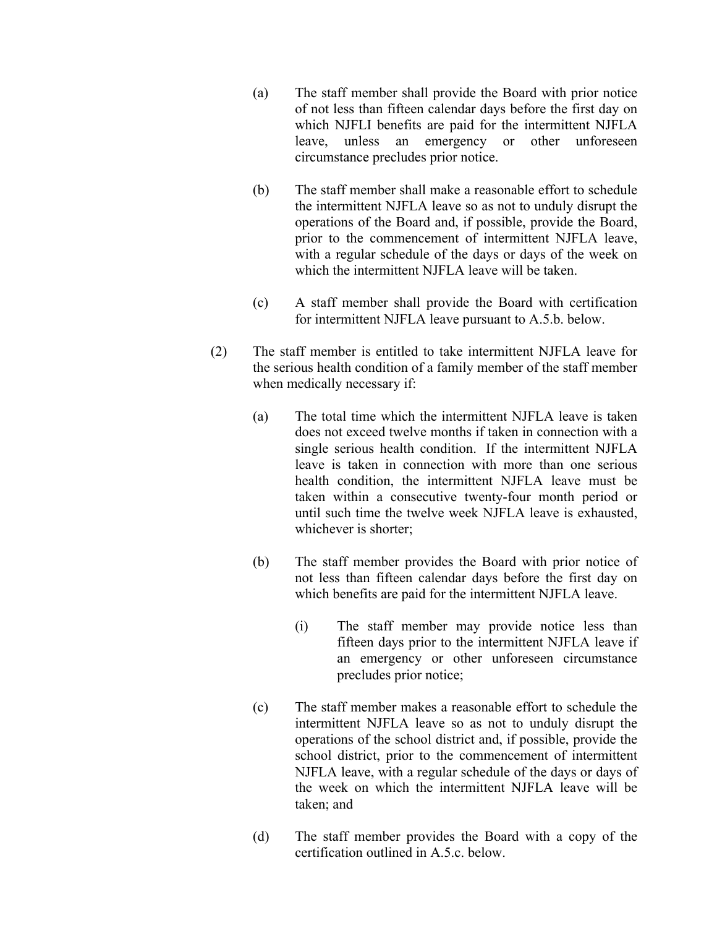- (a) The staff member shall provide the Board with prior notice of not less than fifteen calendar days before the first day on which NJFLI benefits are paid for the intermittent NJFLA leave, unless an emergency or other unforeseen circumstance precludes prior notice.
- (b) The staff member shall make a reasonable effort to schedule the intermittent NJFLA leave so as not to unduly disrupt the operations of the Board and, if possible, provide the Board, prior to the commencement of intermittent NJFLA leave, with a regular schedule of the days or days of the week on which the intermittent NJFLA leave will be taken.
- (c) A staff member shall provide the Board with certification for intermittent NJFLA leave pursuant to A.5.b. below.
- (2) The staff member is entitled to take intermittent NJFLA leave for the serious health condition of a family member of the staff member when medically necessary if:
	- (a) The total time which the intermittent NJFLA leave is taken does not exceed twelve months if taken in connection with a single serious health condition. If the intermittent NJFLA leave is taken in connection with more than one serious health condition, the intermittent NJFLA leave must be taken within a consecutive twenty-four month period or until such time the twelve week NJFLA leave is exhausted, whichever is shorter;
	- (b) The staff member provides the Board with prior notice of not less than fifteen calendar days before the first day on which benefits are paid for the intermittent NJFLA leave.
		- (i) The staff member may provide notice less than fifteen days prior to the intermittent NJFLA leave if an emergency or other unforeseen circumstance precludes prior notice;
	- (c) The staff member makes a reasonable effort to schedule the intermittent NJFLA leave so as not to unduly disrupt the operations of the school district and, if possible, provide the school district, prior to the commencement of intermittent NJFLA leave, with a regular schedule of the days or days of the week on which the intermittent NJFLA leave will be taken; and
	- (d) The staff member provides the Board with a copy of the certification outlined in A.5.c. below.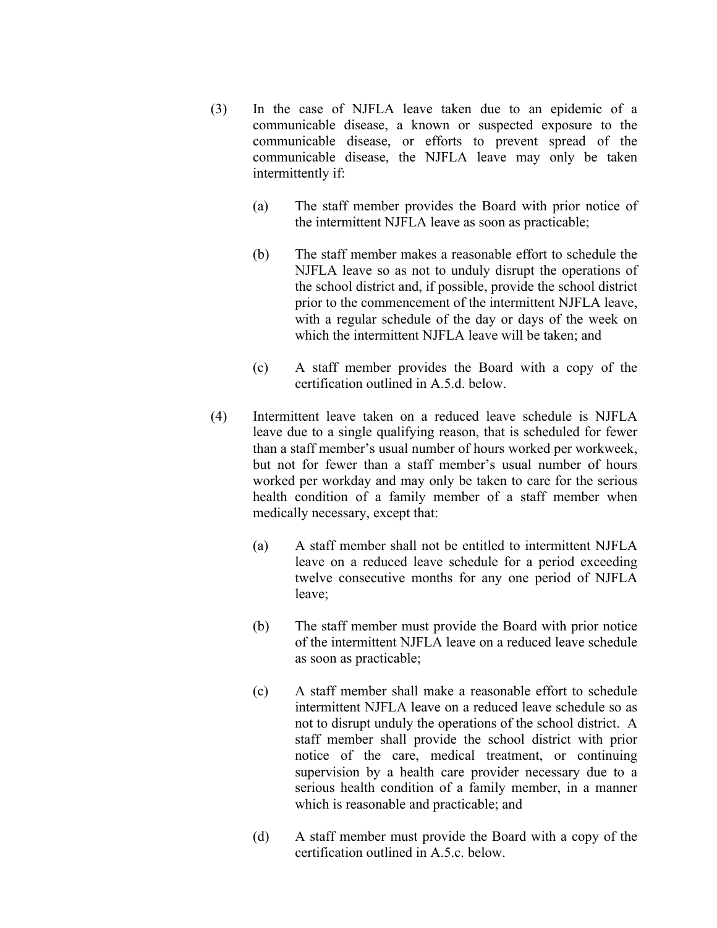- (3) In the case of NJFLA leave taken due to an epidemic of a communicable disease, a known or suspected exposure to the communicable disease, or efforts to prevent spread of the communicable disease, the NJFLA leave may only be taken intermittently if:
	- (a) The staff member provides the Board with prior notice of the intermittent NJFLA leave as soon as practicable;
	- (b) The staff member makes a reasonable effort to schedule the NJFLA leave so as not to unduly disrupt the operations of the school district and, if possible, provide the school district prior to the commencement of the intermittent NJFLA leave, with a regular schedule of the day or days of the week on which the intermittent NJFLA leave will be taken; and
	- (c) A staff member provides the Board with a copy of the certification outlined in A.5.d. below.
- (4) Intermittent leave taken on a reduced leave schedule is NJFLA leave due to a single qualifying reason, that is scheduled for fewer than a staff member's usual number of hours worked per workweek, but not for fewer than a staff member's usual number of hours worked per workday and may only be taken to care for the serious health condition of a family member of a staff member when medically necessary, except that:
	- (a) A staff member shall not be entitled to intermittent NJFLA leave on a reduced leave schedule for a period exceeding twelve consecutive months for any one period of NJFLA leave;
	- (b) The staff member must provide the Board with prior notice of the intermittent NJFLA leave on a reduced leave schedule as soon as practicable;
	- (c) A staff member shall make a reasonable effort to schedule intermittent NJFLA leave on a reduced leave schedule so as not to disrupt unduly the operations of the school district. A staff member shall provide the school district with prior notice of the care, medical treatment, or continuing supervision by a health care provider necessary due to a serious health condition of a family member, in a manner which is reasonable and practicable; and
	- (d) A staff member must provide the Board with a copy of the certification outlined in A.5.c. below.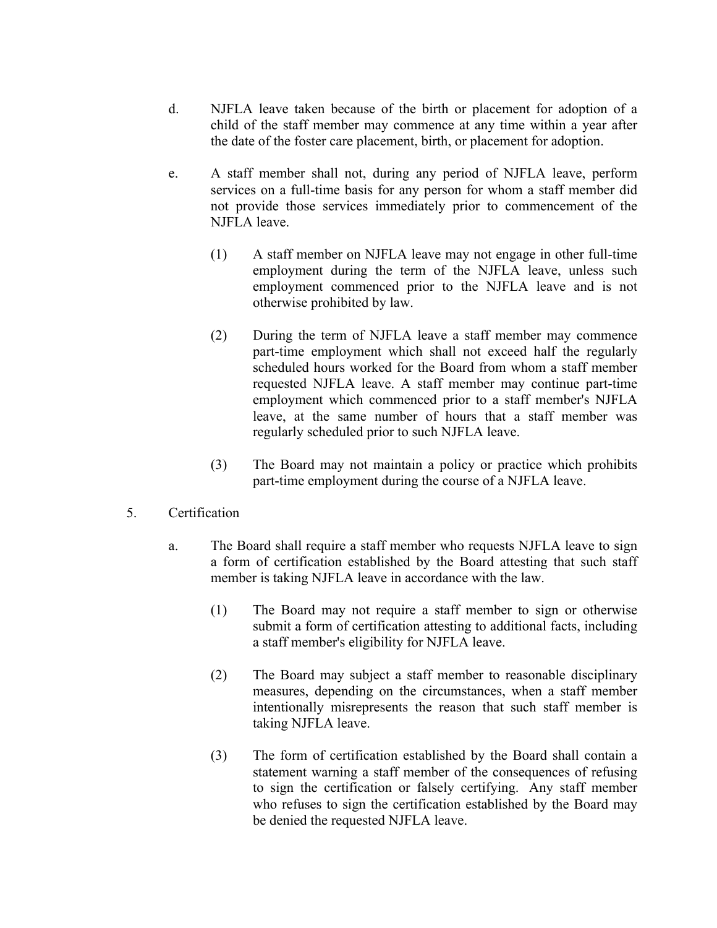- d. NJFLA leave taken because of the birth or placement for adoption of a child of the staff member may commence at any time within a year after the date of the foster care placement, birth, or placement for adoption.
- e. A staff member shall not, during any period of NJFLA leave, perform services on a full-time basis for any person for whom a staff member did not provide those services immediately prior to commencement of the NJFLA leave.
	- (1) A staff member on NJFLA leave may not engage in other full-time employment during the term of the NJFLA leave, unless such employment commenced prior to the NJFLA leave and is not otherwise prohibited by law.
	- (2) During the term of NJFLA leave a staff member may commence part-time employment which shall not exceed half the regularly scheduled hours worked for the Board from whom a staff member requested NJFLA leave. A staff member may continue part-time employment which commenced prior to a staff member's NJFLA leave, at the same number of hours that a staff member was regularly scheduled prior to such NJFLA leave.
	- (3) The Board may not maintain a policy or practice which prohibits part-time employment during the course of a NJFLA leave.
- 5. Certification
	- a. The Board shall require a staff member who requests NJFLA leave to sign a form of certification established by the Board attesting that such staff member is taking NJFLA leave in accordance with the law.
		- (1) The Board may not require a staff member to sign or otherwise submit a form of certification attesting to additional facts, including a staff member's eligibility for NJFLA leave.
		- (2) The Board may subject a staff member to reasonable disciplinary measures, depending on the circumstances, when a staff member intentionally misrepresents the reason that such staff member is taking NJFLA leave.
		- (3) The form of certification established by the Board shall contain a statement warning a staff member of the consequences of refusing to sign the certification or falsely certifying. Any staff member who refuses to sign the certification established by the Board may be denied the requested NJFLA leave.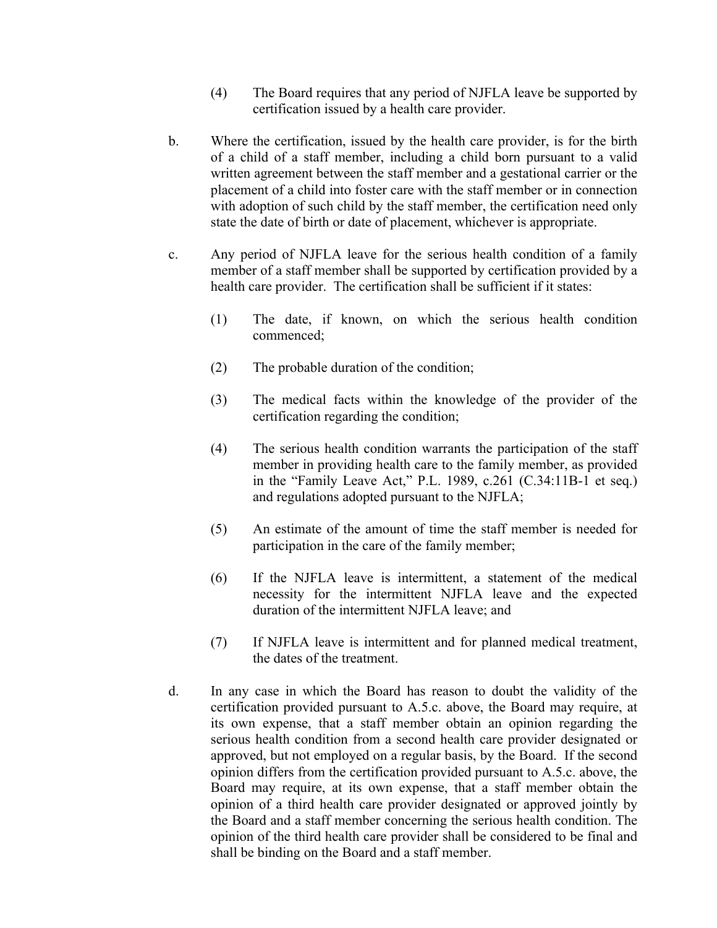- (4) The Board requires that any period of NJFLA leave be supported by certification issued by a health care provider.
- b. Where the certification, issued by the health care provider, is for the birth of a child of a staff member, including a child born pursuant to a valid written agreement between the staff member and a gestational carrier or the placement of a child into foster care with the staff member or in connection with adoption of such child by the staff member, the certification need only state the date of birth or date of placement, whichever is appropriate.
- c. Any period of NJFLA leave for the serious health condition of a family member of a staff member shall be supported by certification provided by a health care provider. The certification shall be sufficient if it states:
	- (1) The date, if known, on which the serious health condition commenced;
	- (2) The probable duration of the condition;
	- (3) The medical facts within the knowledge of the provider of the certification regarding the condition;
	- (4) The serious health condition warrants the participation of the staff member in providing health care to the family member, as provided in the "Family Leave Act," P.L. 1989, c.261 (C.34:11B-1 et seq.) and regulations adopted pursuant to the NJFLA;
	- (5) An estimate of the amount of time the staff member is needed for participation in the care of the family member;
	- (6) If the NJFLA leave is intermittent, a statement of the medical necessity for the intermittent NJFLA leave and the expected duration of the intermittent NJFLA leave; and
	- (7) If NJFLA leave is intermittent and for planned medical treatment, the dates of the treatment.
- d. In any case in which the Board has reason to doubt the validity of the certification provided pursuant to A.5.c. above, the Board may require, at its own expense, that a staff member obtain an opinion regarding the serious health condition from a second health care provider designated or approved, but not employed on a regular basis, by the Board. If the second opinion differs from the certification provided pursuant to A.5.c. above, the Board may require, at its own expense, that a staff member obtain the opinion of a third health care provider designated or approved jointly by the Board and a staff member concerning the serious health condition. The opinion of the third health care provider shall be considered to be final and shall be binding on the Board and a staff member.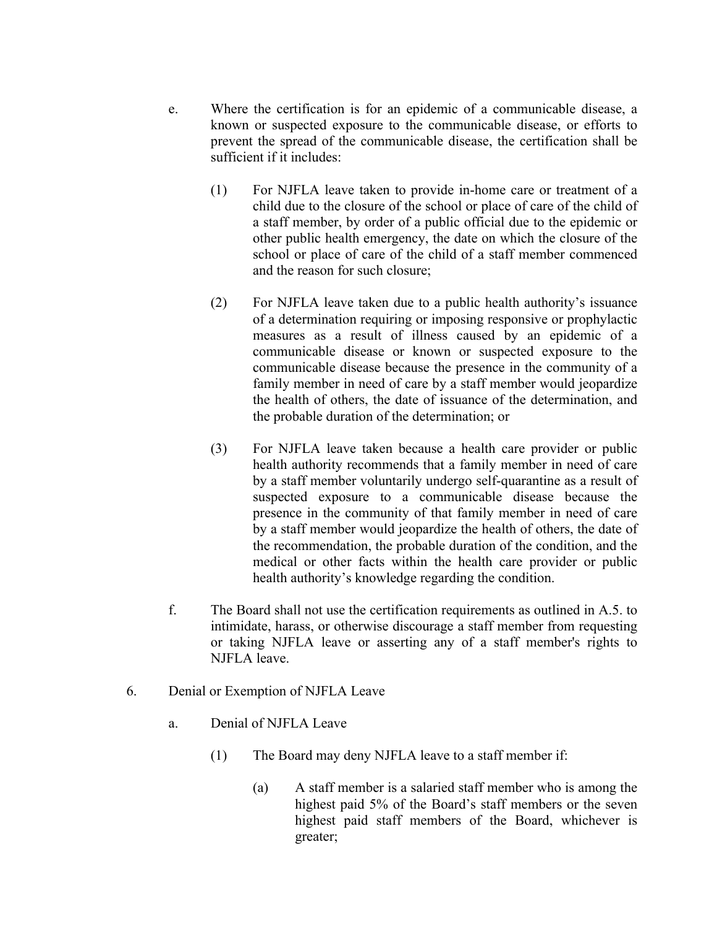- e. Where the certification is for an epidemic of a communicable disease, a known or suspected exposure to the communicable disease, or efforts to prevent the spread of the communicable disease, the certification shall be sufficient if it includes:
	- (1) For NJFLA leave taken to provide in-home care or treatment of a child due to the closure of the school or place of care of the child of a staff member, by order of a public official due to the epidemic or other public health emergency, the date on which the closure of the school or place of care of the child of a staff member commenced and the reason for such closure;
	- (2) For NJFLA leave taken due to a public health authority's issuance of a determination requiring or imposing responsive or prophylactic measures as a result of illness caused by an epidemic of a communicable disease or known or suspected exposure to the communicable disease because the presence in the community of a family member in need of care by a staff member would jeopardize the health of others, the date of issuance of the determination, and the probable duration of the determination; or
	- (3) For NJFLA leave taken because a health care provider or public health authority recommends that a family member in need of care by a staff member voluntarily undergo self-quarantine as a result of suspected exposure to a communicable disease because the presence in the community of that family member in need of care by a staff member would jeopardize the health of others, the date of the recommendation, the probable duration of the condition, and the medical or other facts within the health care provider or public health authority's knowledge regarding the condition.
- f. The Board shall not use the certification requirements as outlined in A.5. to intimidate, harass, or otherwise discourage a staff member from requesting or taking NJFLA leave or asserting any of a staff member's rights to NJFLA leave.
- 6. Denial or Exemption of NJFLA Leave
	- a. Denial of NJFLA Leave
		- (1) The Board may deny NJFLA leave to a staff member if:
			- (a) A staff member is a salaried staff member who is among the highest paid 5% of the Board's staff members or the seven highest paid staff members of the Board, whichever is greater;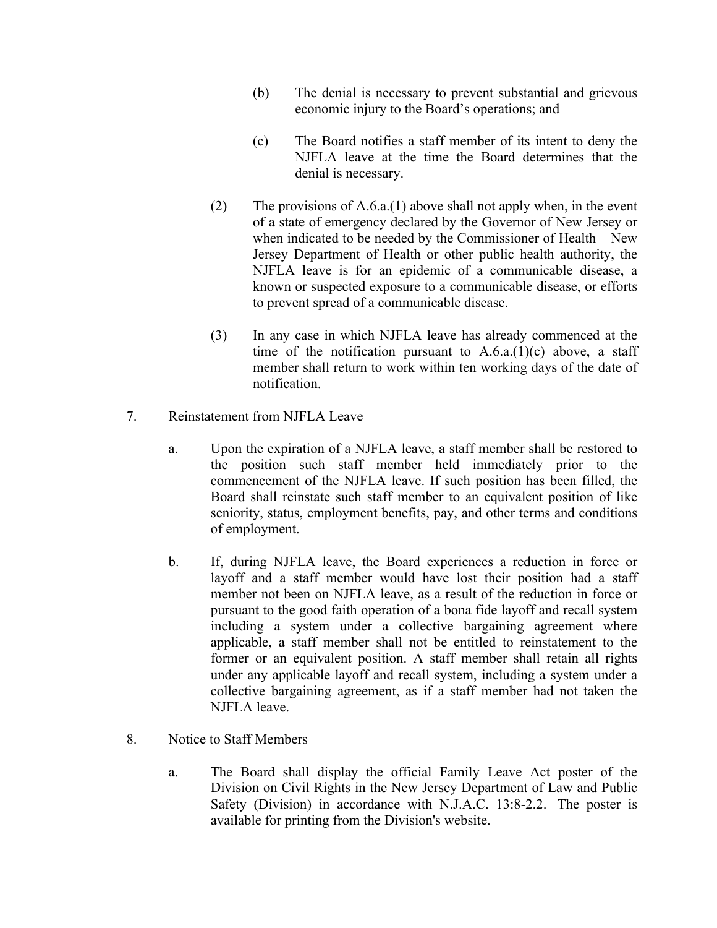- (b) The denial is necessary to prevent substantial and grievous economic injury to the Board's operations; and
- (c) The Board notifies a staff member of its intent to deny the NJFLA leave at the time the Board determines that the denial is necessary.
- (2) The provisions of A.6.a.(1) above shall not apply when, in the event of a state of emergency declared by the Governor of New Jersey or when indicated to be needed by the Commissioner of Health – New Jersey Department of Health or other public health authority, the NJFLA leave is for an epidemic of a communicable disease, a known or suspected exposure to a communicable disease, or efforts to prevent spread of a communicable disease.
- (3) In any case in which NJFLA leave has already commenced at the time of the notification pursuant to  $A.6.a.(1)(c)$  above, a staff member shall return to work within ten working days of the date of notification.
- 7. Reinstatement from NJFLA Leave
	- a. Upon the expiration of a NJFLA leave, a staff member shall be restored to the position such staff member held immediately prior to the commencement of the NJFLA leave. If such position has been filled, the Board shall reinstate such staff member to an equivalent position of like seniority, status, employment benefits, pay, and other terms and conditions of employment.
	- b. If, during NJFLA leave, the Board experiences a reduction in force or layoff and a staff member would have lost their position had a staff member not been on NJFLA leave, as a result of the reduction in force or pursuant to the good faith operation of a bona fide layoff and recall system including a system under a collective bargaining agreement where applicable, a staff member shall not be entitled to reinstatement to the former or an equivalent position. A staff member shall retain all rights under any applicable layoff and recall system, including a system under a collective bargaining agreement, as if a staff member had not taken the NJFLA leave.
- 8. Notice to Staff Members
	- a. The Board shall display the official Family Leave Act poster of the Division on Civil Rights in the New Jersey Department of Law and Public Safety (Division) in accordance with N.J.A.C. 13:8-2.2. The poster is available for printing from the Division's website.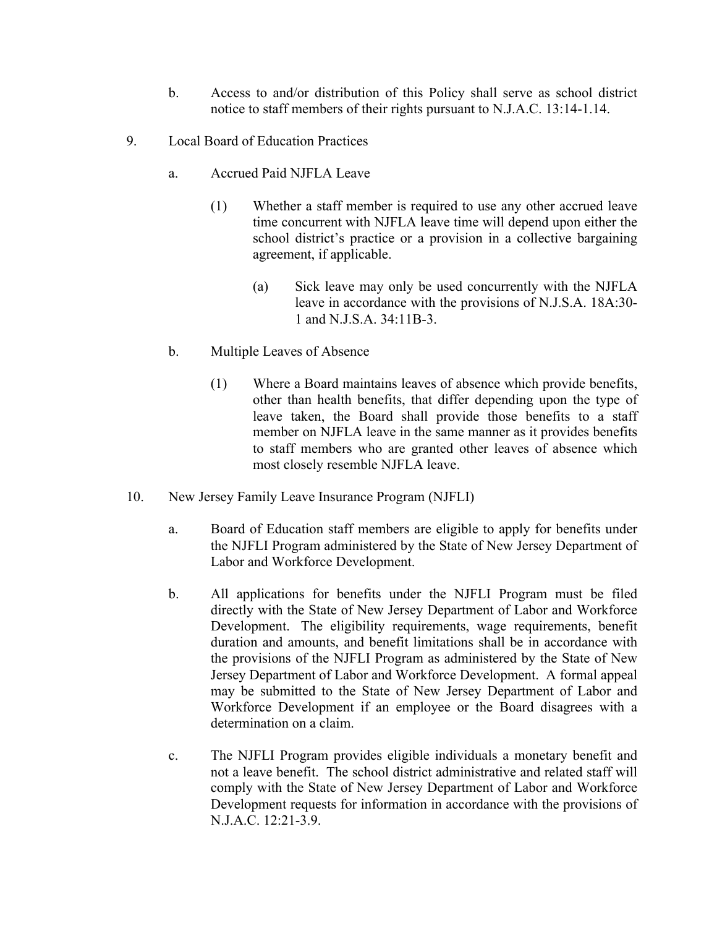- b. Access to and/or distribution of this Policy shall serve as school district notice to staff members of their rights pursuant to N.J.A.C. 13:14-1.14.
- 9. Local Board of Education Practices
	- a. Accrued Paid NJFLA Leave
		- (1) Whether a staff member is required to use any other accrued leave time concurrent with NJFLA leave time will depend upon either the school district's practice or a provision in a collective bargaining agreement, if applicable.
			- (a) Sick leave may only be used concurrently with the NJFLA leave in accordance with the provisions of N.J.S.A. 18A:30- 1 and N.J.S.A. 34:11B-3.
	- b. Multiple Leaves of Absence
		- (1) Where a Board maintains leaves of absence which provide benefits, other than health benefits, that differ depending upon the type of leave taken, the Board shall provide those benefits to a staff member on NJFLA leave in the same manner as it provides benefits to staff members who are granted other leaves of absence which most closely resemble NJFLA leave.
- 10. New Jersey Family Leave Insurance Program (NJFLI)
	- a. Board of Education staff members are eligible to apply for benefits under the NJFLI Program administered by the State of New Jersey Department of Labor and Workforce Development.
	- b. All applications for benefits under the NJFLI Program must be filed directly with the State of New Jersey Department of Labor and Workforce Development. The eligibility requirements, wage requirements, benefit duration and amounts, and benefit limitations shall be in accordance with the provisions of the NJFLI Program as administered by the State of New Jersey Department of Labor and Workforce Development. A formal appeal may be submitted to the State of New Jersey Department of Labor and Workforce Development if an employee or the Board disagrees with a determination on a claim.
	- c. The NJFLI Program provides eligible individuals a monetary benefit and not a leave benefit. The school district administrative and related staff will comply with the State of New Jersey Department of Labor and Workforce Development requests for information in accordance with the provisions of N.J.A.C. 12:21-3.9.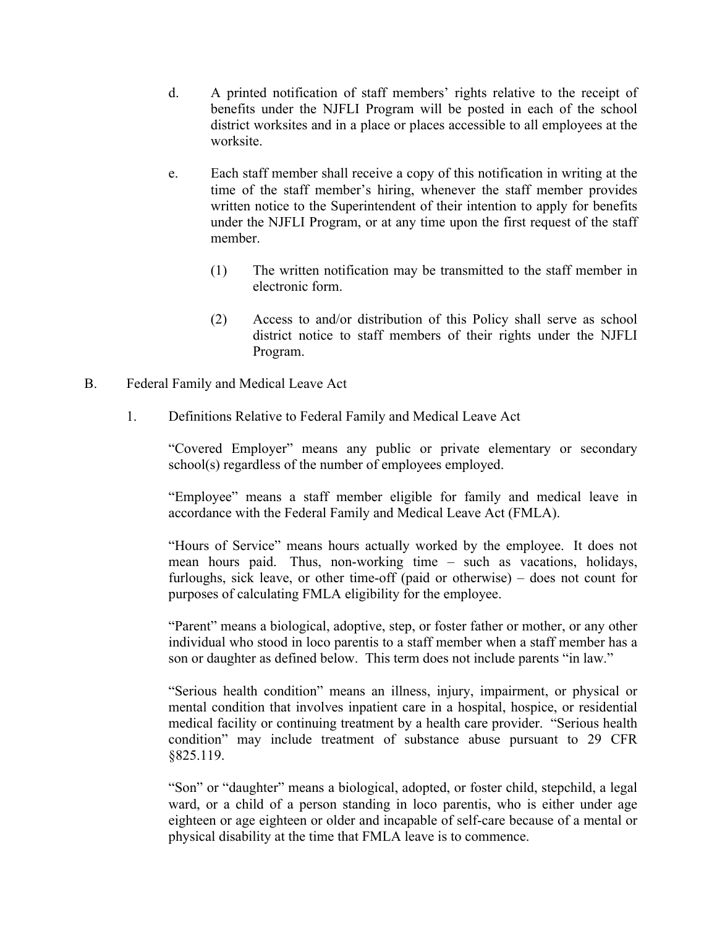- d. A printed notification of staff members' rights relative to the receipt of benefits under the NJFLI Program will be posted in each of the school district worksites and in a place or places accessible to all employees at the worksite.
- e. Each staff member shall receive a copy of this notification in writing at the time of the staff member's hiring, whenever the staff member provides written notice to the Superintendent of their intention to apply for benefits under the NJFLI Program, or at any time upon the first request of the staff member.
	- (1) The written notification may be transmitted to the staff member in electronic form.
	- (2) Access to and/or distribution of this Policy shall serve as school district notice to staff members of their rights under the NJFLI Program.
- B. Federal Family and Medical Leave Act
	- 1. Definitions Relative to Federal Family and Medical Leave Act

"Covered Employer" means any public or private elementary or secondary school(s) regardless of the number of employees employed.

"Employee" means a staff member eligible for family and medical leave in accordance with the Federal Family and Medical Leave Act (FMLA).

"Hours of Service" means hours actually worked by the employee. It does not mean hours paid. Thus, non-working time – such as vacations, holidays, furloughs, sick leave, or other time-off (paid or otherwise) – does not count for purposes of calculating FMLA eligibility for the employee.

"Parent" means a biological, adoptive, step, or foster father or mother, or any other individual who stood in loco parentis to a staff member when a staff member has a son or daughter as defined below. This term does not include parents "in law."

"Serious health condition" means an illness, injury, impairment, or physical or mental condition that involves inpatient care in a hospital, hospice, or residential medical facility or continuing treatment by a health care provider. "Serious health condition" may include treatment of substance abuse pursuant to 29 CFR §825.119.

"Son" or "daughter" means a biological, adopted, or foster child, stepchild, a legal ward, or a child of a person standing in loco parentis, who is either under age eighteen or age eighteen or older and incapable of self-care because of a mental or physical disability at the time that FMLA leave is to commence.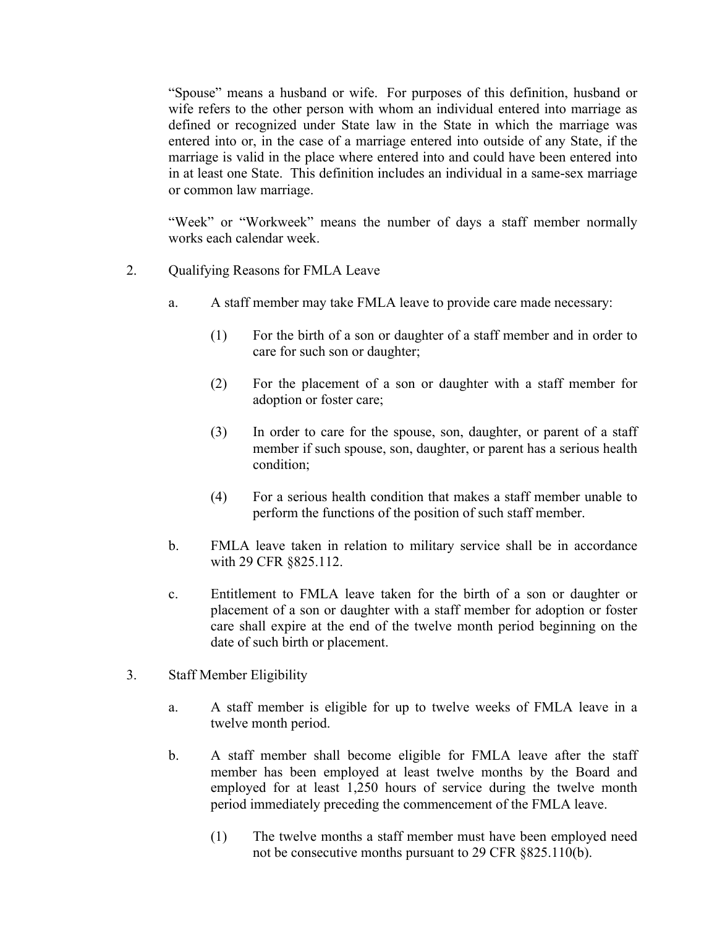"Spouse" means a husband or wife. For purposes of this definition, husband or wife refers to the other person with whom an individual entered into marriage as defined or recognized under State law in the State in which the marriage was entered into or, in the case of a marriage entered into outside of any State, if the marriage is valid in the place where entered into and could have been entered into in at least one State. This definition includes an individual in a same-sex marriage or common law marriage.

"Week" or "Workweek" means the number of days a staff member normally works each calendar week.

- 2. Qualifying Reasons for FMLA Leave
	- a. A staff member may take FMLA leave to provide care made necessary:
		- (1) For the birth of a son or daughter of a staff member and in order to care for such son or daughter;
		- (2) For the placement of a son or daughter with a staff member for adoption or foster care;
		- (3) In order to care for the spouse, son, daughter, or parent of a staff member if such spouse, son, daughter, or parent has a serious health condition;
		- (4) For a serious health condition that makes a staff member unable to perform the functions of the position of such staff member.
	- b. FMLA leave taken in relation to military service shall be in accordance with 29 CFR §825.112.
	- c. Entitlement to FMLA leave taken for the birth of a son or daughter or placement of a son or daughter with a staff member for adoption or foster care shall expire at the end of the twelve month period beginning on the date of such birth or placement.
- 3. Staff Member Eligibility
	- a. A staff member is eligible for up to twelve weeks of FMLA leave in a twelve month period.
	- b. A staff member shall become eligible for FMLA leave after the staff member has been employed at least twelve months by the Board and employed for at least 1,250 hours of service during the twelve month period immediately preceding the commencement of the FMLA leave.
		- (1) The twelve months a staff member must have been employed need not be consecutive months pursuant to 29 CFR §825.110(b).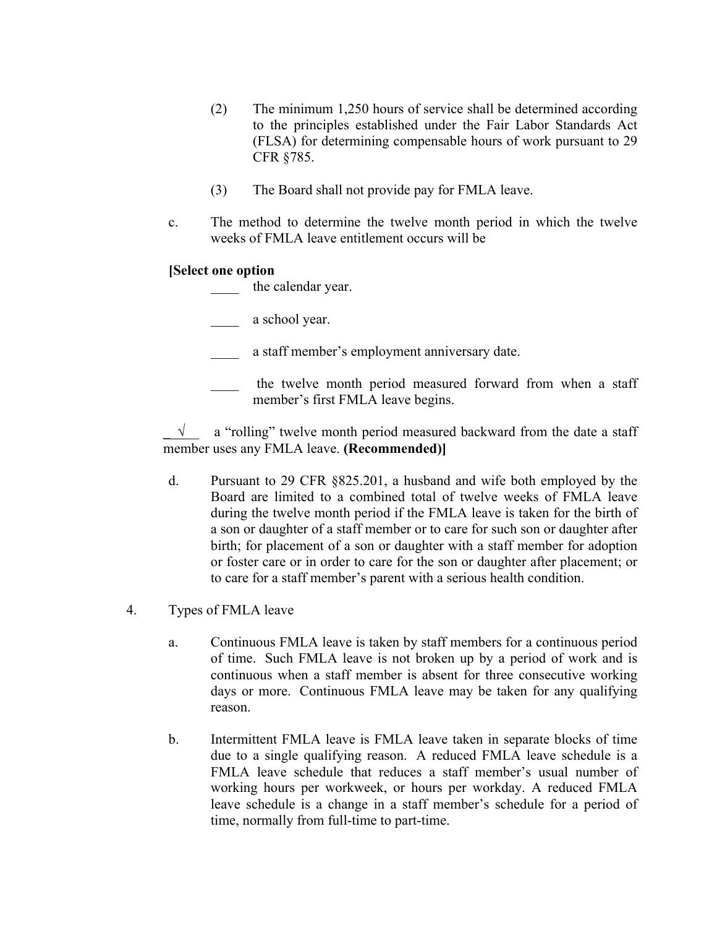- (2) The minimum 1,250 hours of service shall be determined according to the principles established under the Fair Labor Standards Act (FLSA) for determining compensable hours of work pursuant to 29 CFR §785.
- (3) The Board shall not provide pay for FMLA leave.
- c. The method to determine the twelve month period in which the twelve weeks of FMLA leave entitlement occurs will be

## **[Select one option**

the calendar year.

a school year.

- a staff member's employment anniversary date.
- the twelve month period measured forward from when a staff member's first FMLA leave begins.

**\_**\_√\_\_ a "rolling" twelve month period measured backward from the date a staff member uses any FMLA leave. **(Recommended)]**

- d. Pursuant to 29 CFR §825.201, a husband and wife both employed by the Board are limited to a combined total of twelve weeks of FMLA leave during the twelve month period if the FMLA leave is taken for the birth of a son or daughter of a staff member or to care for such son or daughter after birth; for placement of a son or daughter with a staff member for adoption or foster care or in order to care for the son or daughter after placement; or to care for a staff member's parent with a serious health condition.
- 4. Types of FMLA leave
	- a. Continuous FMLA leave is taken by staff members for a continuous period of time. Such FMLA leave is not broken up by a period of work and is continuous when a staff member is absent for three consecutive working days or more. Continuous FMLA leave may be taken for any qualifying reason.
	- b. Intermittent FMLA leave is FMLA leave taken in separate blocks of time due to a single qualifying reason. A reduced FMLA leave schedule is a FMLA leave schedule that reduces a staff member's usual number of working hours per workweek, or hours per workday. A reduced FMLA leave schedule is a change in a staff member's schedule for a period of time, normally from full-time to part-time.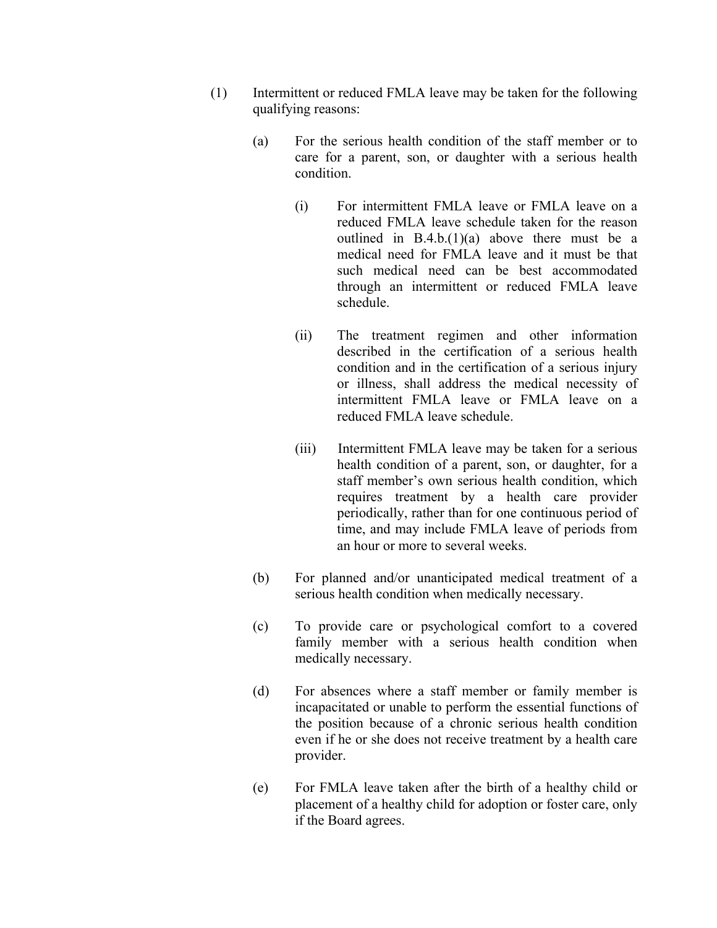- (1) Intermittent or reduced FMLA leave may be taken for the following qualifying reasons:
	- (a) For the serious health condition of the staff member or to care for a parent, son, or daughter with a serious health condition.
		- (i) For intermittent FMLA leave or FMLA leave on a reduced FMLA leave schedule taken for the reason outlined in  $B.4.b.(1)(a)$  above there must be a medical need for FMLA leave and it must be that such medical need can be best accommodated through an intermittent or reduced FMLA leave schedule.
		- (ii) The treatment regimen and other information described in the certification of a serious health condition and in the certification of a serious injury or illness, shall address the medical necessity of intermittent FMLA leave or FMLA leave on a reduced FMLA leave schedule.
		- (iii) Intermittent FMLA leave may be taken for a serious health condition of a parent, son, or daughter, for a staff member's own serious health condition, which requires treatment by a health care provider periodically, rather than for one continuous period of time, and may include FMLA leave of periods from an hour or more to several weeks.
	- (b) For planned and/or unanticipated medical treatment of a serious health condition when medically necessary.
	- (c) To provide care or psychological comfort to a covered family member with a serious health condition when medically necessary.
	- (d) For absences where a staff member or family member is incapacitated or unable to perform the essential functions of the position because of a chronic serious health condition even if he or she does not receive treatment by a health care provider.
	- (e) For FMLA leave taken after the birth of a healthy child or placement of a healthy child for adoption or foster care, only if the Board agrees.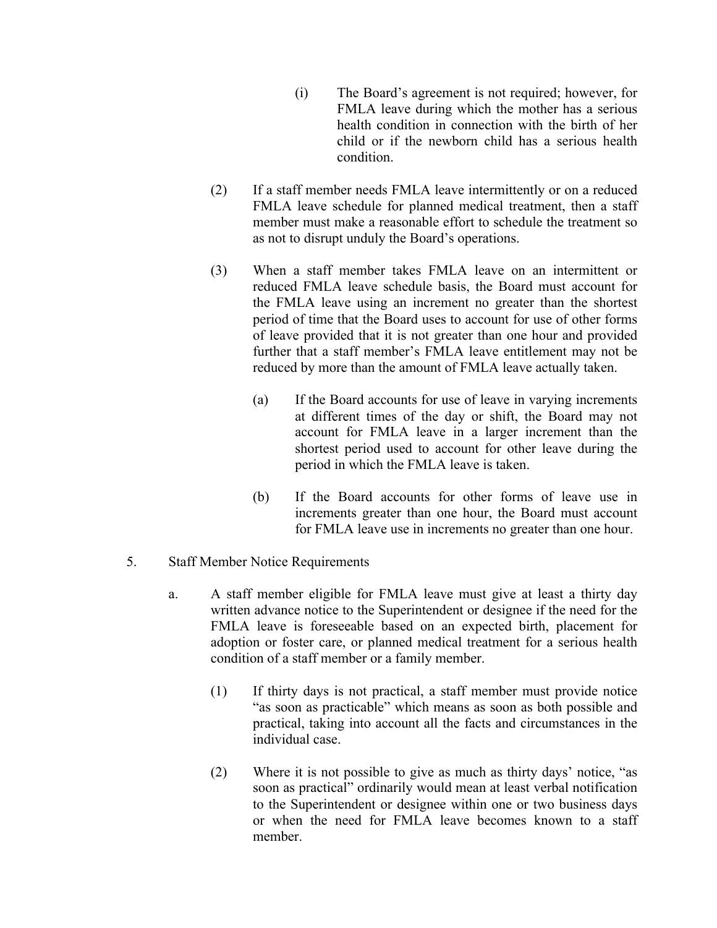- (i) The Board's agreement is not required; however, for FMLA leave during which the mother has a serious health condition in connection with the birth of her child or if the newborn child has a serious health condition.
- (2) If a staff member needs FMLA leave intermittently or on a reduced FMLA leave schedule for planned medical treatment, then a staff member must make a reasonable effort to schedule the treatment so as not to disrupt unduly the Board's operations.
- (3) When a staff member takes FMLA leave on an intermittent or reduced FMLA leave schedule basis, the Board must account for the FMLA leave using an increment no greater than the shortest period of time that the Board uses to account for use of other forms of leave provided that it is not greater than one hour and provided further that a staff member's FMLA leave entitlement may not be reduced by more than the amount of FMLA leave actually taken.
	- (a) If the Board accounts for use of leave in varying increments at different times of the day or shift, the Board may not account for FMLA leave in a larger increment than the shortest period used to account for other leave during the period in which the FMLA leave is taken.
	- (b) If the Board accounts for other forms of leave use in increments greater than one hour, the Board must account for FMLA leave use in increments no greater than one hour.
- 5. Staff Member Notice Requirements
	- a. A staff member eligible for FMLA leave must give at least a thirty day written advance notice to the Superintendent or designee if the need for the FMLA leave is foreseeable based on an expected birth, placement for adoption or foster care, or planned medical treatment for a serious health condition of a staff member or a family member.
		- (1) If thirty days is not practical, a staff member must provide notice "as soon as practicable" which means as soon as both possible and practical, taking into account all the facts and circumstances in the individual case.
		- (2) Where it is not possible to give as much as thirty days' notice, "as soon as practical" ordinarily would mean at least verbal notification to the Superintendent or designee within one or two business days or when the need for FMLA leave becomes known to a staff member.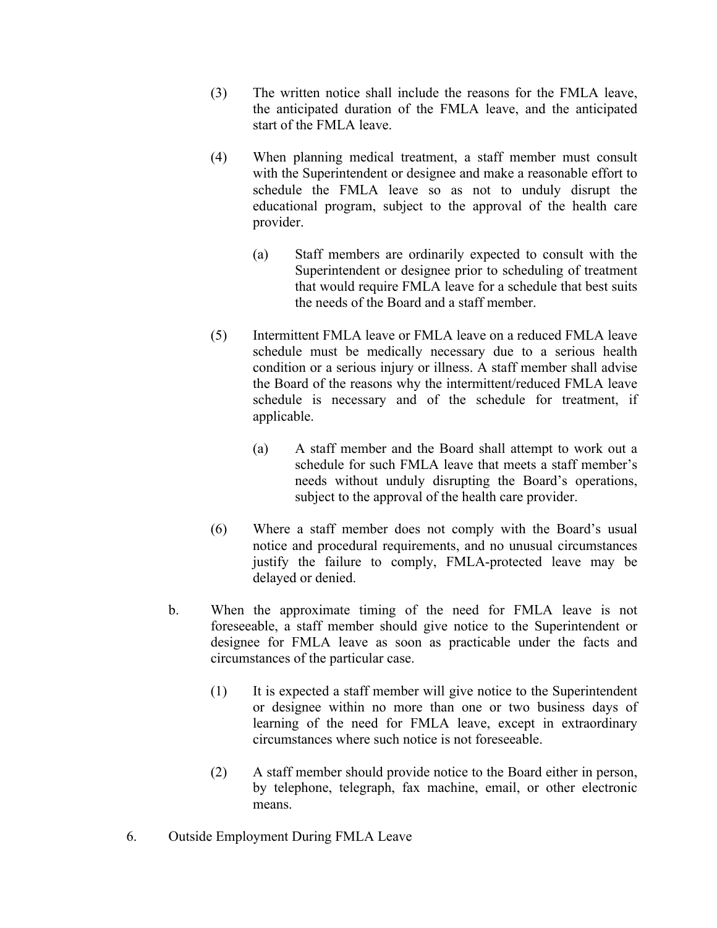- (3) The written notice shall include the reasons for the FMLA leave, the anticipated duration of the FMLA leave, and the anticipated start of the FMLA leave.
- (4) When planning medical treatment, a staff member must consult with the Superintendent or designee and make a reasonable effort to schedule the FMLA leave so as not to unduly disrupt the educational program, subject to the approval of the health care provider.
	- (a) Staff members are ordinarily expected to consult with the Superintendent or designee prior to scheduling of treatment that would require FMLA leave for a schedule that best suits the needs of the Board and a staff member.
- (5) Intermittent FMLA leave or FMLA leave on a reduced FMLA leave schedule must be medically necessary due to a serious health condition or a serious injury or illness. A staff member shall advise the Board of the reasons why the intermittent/reduced FMLA leave schedule is necessary and of the schedule for treatment, if applicable.
	- (a) A staff member and the Board shall attempt to work out a schedule for such FMLA leave that meets a staff member's needs without unduly disrupting the Board's operations, subject to the approval of the health care provider.
- (6) Where a staff member does not comply with the Board's usual notice and procedural requirements, and no unusual circumstances justify the failure to comply, FMLA-protected leave may be delayed or denied.
- b. When the approximate timing of the need for FMLA leave is not foreseeable, a staff member should give notice to the Superintendent or designee for FMLA leave as soon as practicable under the facts and circumstances of the particular case.
	- (1) It is expected a staff member will give notice to the Superintendent or designee within no more than one or two business days of learning of the need for FMLA leave, except in extraordinary circumstances where such notice is not foreseeable.
	- (2) A staff member should provide notice to the Board either in person, by telephone, telegraph, fax machine, email, or other electronic means.
- 6. Outside Employment During FMLA Leave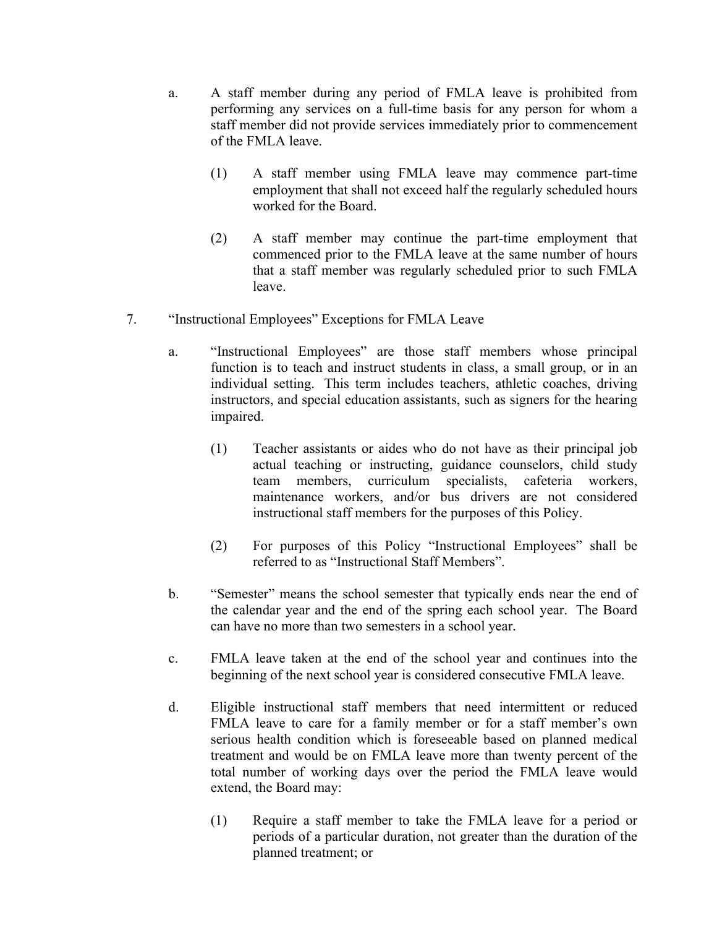- a. A staff member during any period of FMLA leave is prohibited from performing any services on a full-time basis for any person for whom a staff member did not provide services immediately prior to commencement of the FMLA leave.
	- (1) A staff member using FMLA leave may commence part-time employment that shall not exceed half the regularly scheduled hours worked for the Board.
	- (2) A staff member may continue the part-time employment that commenced prior to the FMLA leave at the same number of hours that a staff member was regularly scheduled prior to such FMLA leave.
- 7. "Instructional Employees" Exceptions for FMLA Leave
	- a. "Instructional Employees" are those staff members whose principal function is to teach and instruct students in class, a small group, or in an individual setting. This term includes teachers, athletic coaches, driving instructors, and special education assistants, such as signers for the hearing impaired.
		- (1) Teacher assistants or aides who do not have as their principal job actual teaching or instructing, guidance counselors, child study team members, curriculum specialists, cafeteria workers, maintenance workers, and/or bus drivers are not considered instructional staff members for the purposes of this Policy.
		- (2) For purposes of this Policy "Instructional Employees" shall be referred to as "Instructional Staff Members".
	- b. "Semester" means the school semester that typically ends near the end of the calendar year and the end of the spring each school year. The Board can have no more than two semesters in a school year.
	- c. FMLA leave taken at the end of the school year and continues into the beginning of the next school year is considered consecutive FMLA leave.
	- d. Eligible instructional staff members that need intermittent or reduced FMLA leave to care for a family member or for a staff member's own serious health condition which is foreseeable based on planned medical treatment and would be on FMLA leave more than twenty percent of the total number of working days over the period the FMLA leave would extend, the Board may:
		- (1) Require a staff member to take the FMLA leave for a period or periods of a particular duration, not greater than the duration of the planned treatment; or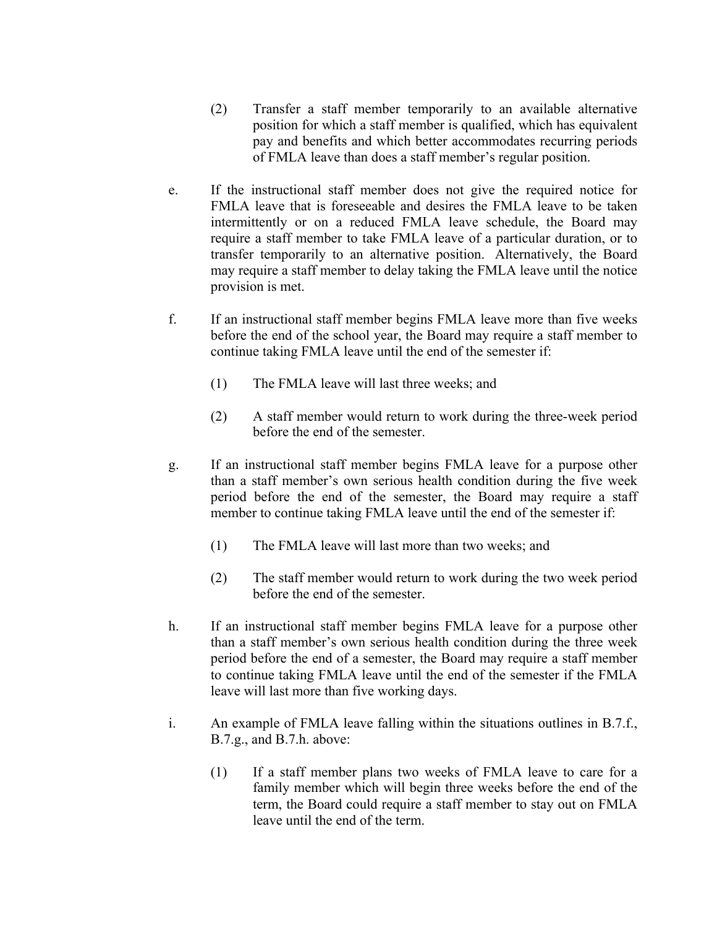- (2) Transfer a staff member temporarily to an available alternative position for which a staff member is qualified, which has equivalent pay and benefits and which better accommodates recurring periods of FMLA leave than does a staff member's regular position.
- e. If the instructional staff member does not give the required notice for FMLA leave that is foreseeable and desires the FMLA leave to be taken intermittently or on a reduced FMLA leave schedule, the Board may require a staff member to take FMLA leave of a particular duration, or to transfer temporarily to an alternative position. Alternatively, the Board may require a staff member to delay taking the FMLA leave until the notice provision is met.
- f. If an instructional staff member begins FMLA leave more than five weeks before the end of the school year, the Board may require a staff member to continue taking FMLA leave until the end of the semester if:
	- (1) The FMLA leave will last three weeks; and
	- (2) A staff member would return to work during the three-week period before the end of the semester.
- g. If an instructional staff member begins FMLA leave for a purpose other than a staff member's own serious health condition during the five week period before the end of the semester, the Board may require a staff member to continue taking FMLA leave until the end of the semester if:
	- (1) The FMLA leave will last more than two weeks; and
	- (2) The staff member would return to work during the two week period before the end of the semester.
- h. If an instructional staff member begins FMLA leave for a purpose other than a staff member's own serious health condition during the three week period before the end of a semester, the Board may require a staff member to continue taking FMLA leave until the end of the semester if the FMLA leave will last more than five working days.
- i. An example of FMLA leave falling within the situations outlines in B.7.f., B.7.g., and B.7.h. above:
	- (1) If a staff member plans two weeks of FMLA leave to care for a family member which will begin three weeks before the end of the term, the Board could require a staff member to stay out on FMLA leave until the end of the term.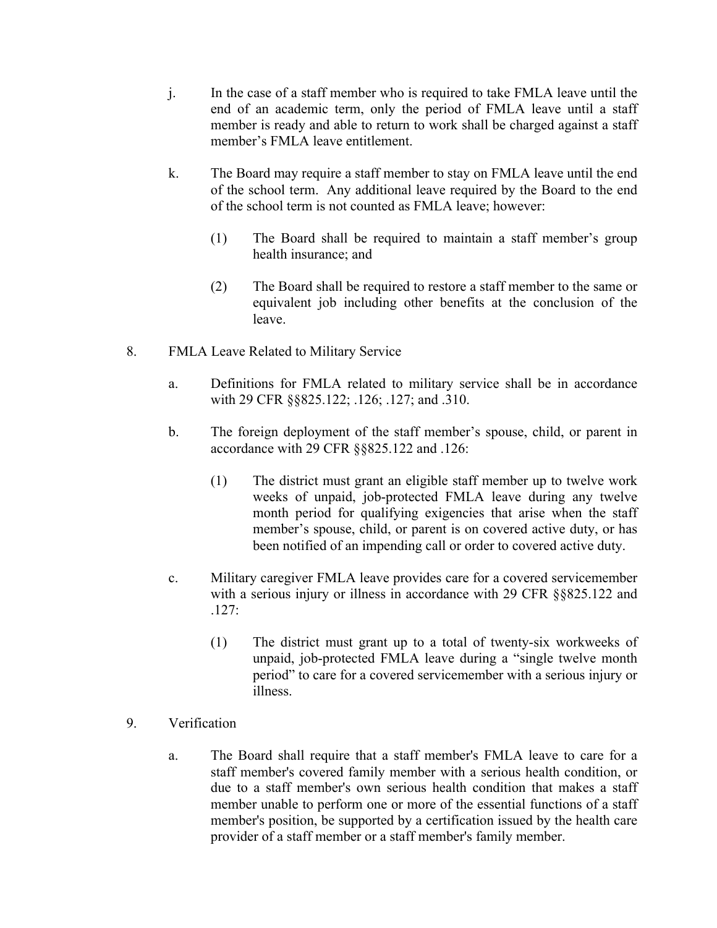- j. In the case of a staff member who is required to take FMLA leave until the end of an academic term, only the period of FMLA leave until a staff member is ready and able to return to work shall be charged against a staff member's FMLA leave entitlement.
- k. The Board may require a staff member to stay on FMLA leave until the end of the school term. Any additional leave required by the Board to the end of the school term is not counted as FMLA leave; however:
	- (1) The Board shall be required to maintain a staff member's group health insurance; and
	- (2) The Board shall be required to restore a staff member to the same or equivalent job including other benefits at the conclusion of the leave.
- 8. FMLA Leave Related to Military Service
	- a. Definitions for FMLA related to military service shall be in accordance with 29 CFR §§825.122; .126; .127; and .310.
	- b. The foreign deployment of the staff member's spouse, child, or parent in accordance with 29 CFR §§825.122 and .126:
		- (1) The district must grant an eligible staff member up to twelve work weeks of unpaid, job-protected FMLA leave during any twelve month period for qualifying exigencies that arise when the staff member's spouse, child, or parent is on covered active duty, or has been notified of an impending call or order to covered active duty.
	- c. Military caregiver FMLA leave provides care for a covered servicemember with a serious injury or illness in accordance with 29 CFR §§825.122 and .127:
		- (1) The district must grant up to a total of twenty-six workweeks of unpaid, job-protected FMLA leave during a "single twelve month period" to care for a covered servicemember with a serious injury or illness.
- 9. Verification
	- a. The Board shall require that a staff member's FMLA leave to care for a staff member's covered family member with a serious health condition, or due to a staff member's own serious health condition that makes a staff member unable to perform one or more of the essential functions of a staff member's position, be supported by a certification issued by the health care provider of a staff member or a staff member's family member.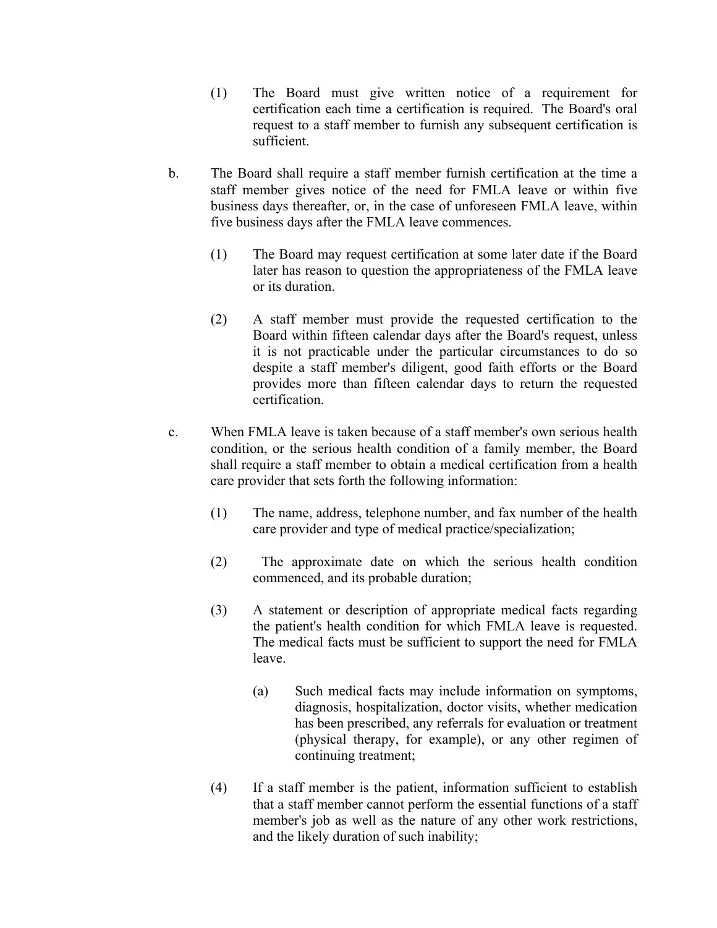- (1) The Board must give written notice of a requirement for certification each time a certification is required. The Board's oral request to a staff member to furnish any subsequent certification is sufficient.
- b. The Board shall require a staff member furnish certification at the time a staff member gives notice of the need for FMLA leave or within five business days thereafter, or, in the case of unforeseen FMLA leave, within five business days after the FMLA leave commences.
	- (1) The Board may request certification at some later date if the Board later has reason to question the appropriateness of the FMLA leave or its duration.
	- (2) A staff member must provide the requested certification to the Board within fifteen calendar days after the Board's request, unless it is not practicable under the particular circumstances to do so despite a staff member's diligent, good faith efforts or the Board provides more than fifteen calendar days to return the requested certification.
- c. When FMLA leave is taken because of a staff member's own serious health condition, or the serious health condition of a family member, the Board shall require a staff member to obtain a medical certification from a health care provider that sets forth the following information:
	- (1) The name, address, telephone number, and fax number of the health care provider and type of medical practice/specialization;
	- (2) The approximate date on which the serious health condition commenced, and its probable duration;
	- (3) A statement or description of appropriate medical facts regarding the patient's health condition for which FMLA leave is requested. The medical facts must be sufficient to support the need for FMLA leave.
		- (a) Such medical facts may include information on symptoms, diagnosis, hospitalization, doctor visits, whether medication has been prescribed, any referrals for evaluation or treatment (physical therapy, for example), or any other regimen of continuing treatment;
	- (4) If a staff member is the patient, information sufficient to establish that a staff member cannot perform the essential functions of a staff member's job as well as the nature of any other work restrictions, and the likely duration of such inability;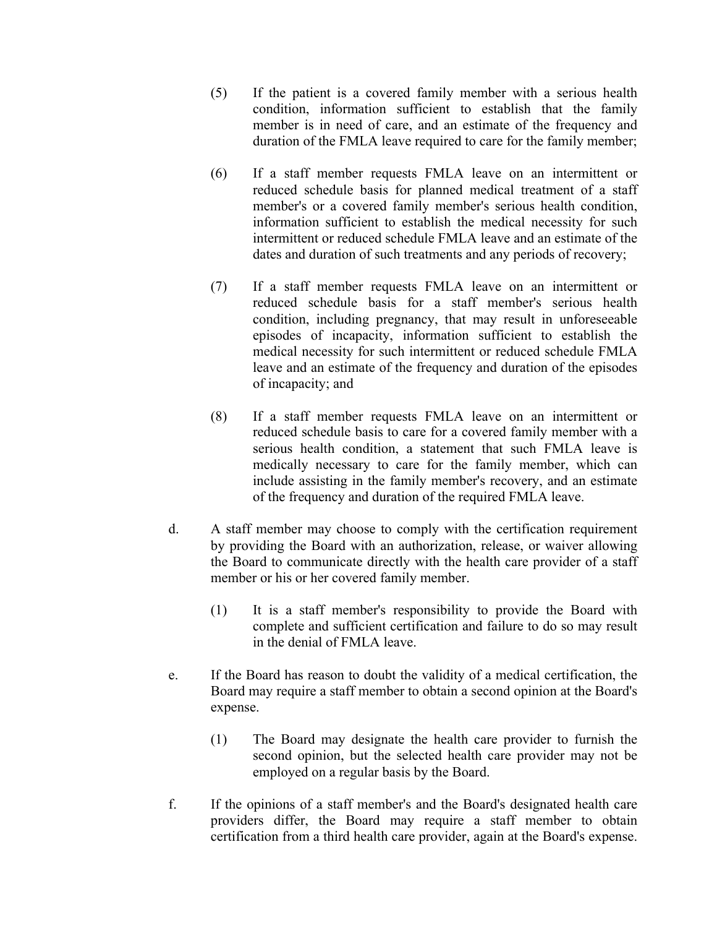- (5) If the patient is a covered family member with a serious health condition, information sufficient to establish that the family member is in need of care, and an estimate of the frequency and duration of the FMLA leave required to care for the family member;
- (6) If a staff member requests FMLA leave on an intermittent or reduced schedule basis for planned medical treatment of a staff member's or a covered family member's serious health condition, information sufficient to establish the medical necessity for such intermittent or reduced schedule FMLA leave and an estimate of the dates and duration of such treatments and any periods of recovery;
- (7) If a staff member requests FMLA leave on an intermittent or reduced schedule basis for a staff member's serious health condition, including pregnancy, that may result in unforeseeable episodes of incapacity, information sufficient to establish the medical necessity for such intermittent or reduced schedule FMLA leave and an estimate of the frequency and duration of the episodes of incapacity; and
- (8) If a staff member requests FMLA leave on an intermittent or reduced schedule basis to care for a covered family member with a serious health condition, a statement that such FMLA leave is medically necessary to care for the family member, which can include assisting in the family member's recovery, and an estimate of the frequency and duration of the required FMLA leave.
- d. A staff member may choose to comply with the certification requirement by providing the Board with an authorization, release, or waiver allowing the Board to communicate directly with the health care provider of a staff member or his or her covered family member.
	- (1) It is a staff member's responsibility to provide the Board with complete and sufficient certification and failure to do so may result in the denial of FMLA leave.
- e. If the Board has reason to doubt the validity of a medical certification, the Board may require a staff member to obtain a second opinion at the Board's expense.
	- (1) The Board may designate the health care provider to furnish the second opinion, but the selected health care provider may not be employed on a regular basis by the Board.
- f. If the opinions of a staff member's and the Board's designated health care providers differ, the Board may require a staff member to obtain certification from a third health care provider, again at the Board's expense.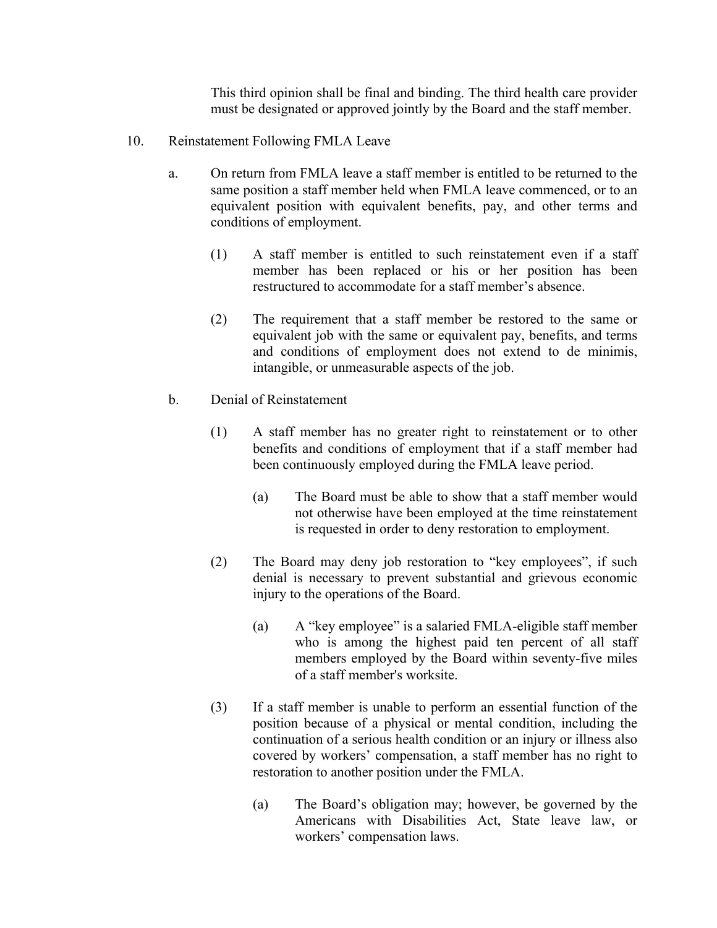This third opinion shall be final and binding. The third health care provider must be designated or approved jointly by the Board and the staff member.

- 10. Reinstatement Following FMLA Leave
	- a. On return from FMLA leave a staff member is entitled to be returned to the same position a staff member held when FMLA leave commenced, or to an equivalent position with equivalent benefits, pay, and other terms and conditions of employment.
		- (1) A staff member is entitled to such reinstatement even if a staff member has been replaced or his or her position has been restructured to accommodate for a staff member's absence.
		- (2) The requirement that a staff member be restored to the same or equivalent job with the same or equivalent pay, benefits, and terms and conditions of employment does not extend to de minimis, intangible, or unmeasurable aspects of the job.
	- b. Denial of Reinstatement
		- (1) A staff member has no greater right to reinstatement or to other benefits and conditions of employment that if a staff member had been continuously employed during the FMLA leave period.
			- (a) The Board must be able to show that a staff member would not otherwise have been employed at the time reinstatement is requested in order to deny restoration to employment.
		- (2) The Board may deny job restoration to "key employees", if such denial is necessary to prevent substantial and grievous economic injury to the operations of the Board.
			- (a) A "key employee" is a salaried FMLA-eligible staff member who is among the highest paid ten percent of all staff members employed by the Board within seventy-five miles of a staff member's worksite.
		- (3) If a staff member is unable to perform an essential function of the position because of a physical or mental condition, including the continuation of a serious health condition or an injury or illness also covered by workers' compensation, a staff member has no right to restoration to another position under the FMLA.
			- (a) The Board's obligation may; however, be governed by the Americans with Disabilities Act, State leave law, or workers' compensation laws.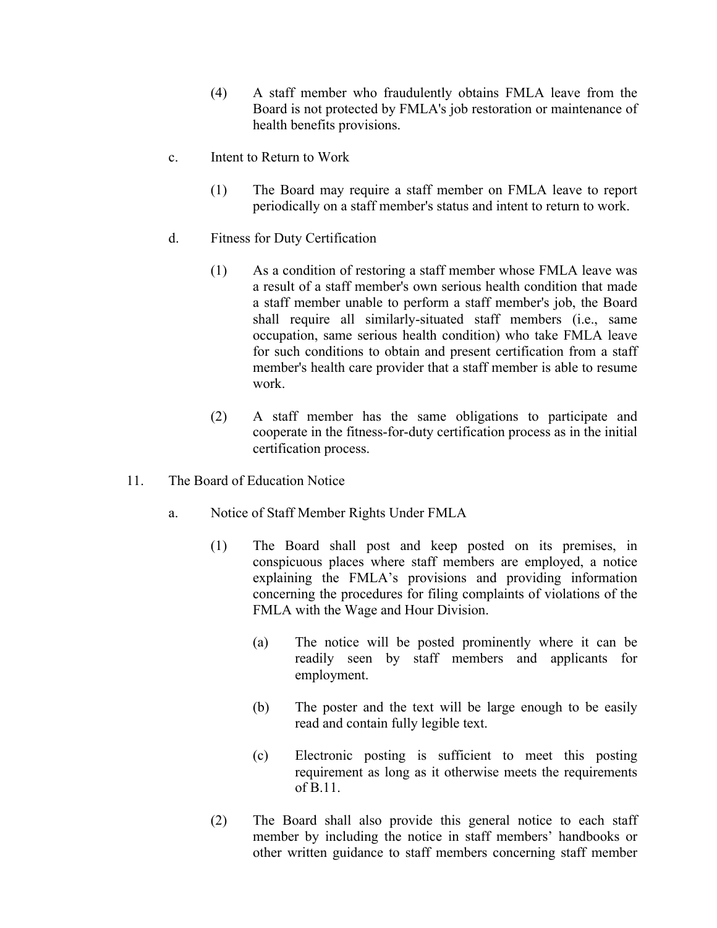- (4) A staff member who fraudulently obtains FMLA leave from the Board is not protected by FMLA's job restoration or maintenance of health benefits provisions.
- c. Intent to Return to Work
	- (1) The Board may require a staff member on FMLA leave to report periodically on a staff member's status and intent to return to work.
- d. Fitness for Duty Certification
	- (1) As a condition of restoring a staff member whose FMLA leave was a result of a staff member's own serious health condition that made a staff member unable to perform a staff member's job, the Board shall require all similarly-situated staff members (i.e., same occupation, same serious health condition) who take FMLA leave for such conditions to obtain and present certification from a staff member's health care provider that a staff member is able to resume work.
	- (2) A staff member has the same obligations to participate and cooperate in the fitness-for-duty certification process as in the initial certification process.
- 11. The Board of Education Notice
	- a. Notice of Staff Member Rights Under FMLA
		- (1) The Board shall post and keep posted on its premises, in conspicuous places where staff members are employed, a notice explaining the FMLA's provisions and providing information concerning the procedures for filing complaints of violations of the FMLA with the Wage and Hour Division.
			- (a) The notice will be posted prominently where it can be readily seen by staff members and applicants for employment.
			- (b) The poster and the text will be large enough to be easily read and contain fully legible text.
			- (c) Electronic posting is sufficient to meet this posting requirement as long as it otherwise meets the requirements of B.11.
		- (2) The Board shall also provide this general notice to each staff member by including the notice in staff members' handbooks or other written guidance to staff members concerning staff member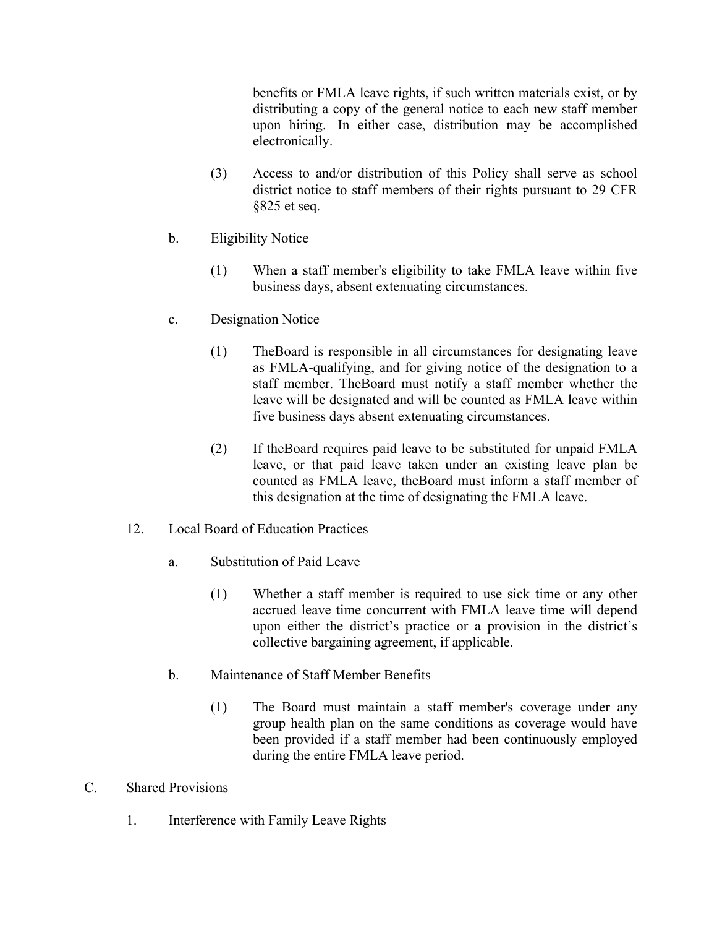benefits or FMLA leave rights, if such written materials exist, or by distributing a copy of the general notice to each new staff member upon hiring. In either case, distribution may be accomplished electronically.

- (3) Access to and/or distribution of this Policy shall serve as school district notice to staff members of their rights pursuant to 29 CFR §825 et seq.
- b. Eligibility Notice
	- (1) When a staff member's eligibility to take FMLA leave within five business days, absent extenuating circumstances.
- c. Designation Notice
	- (1) TheBoard is responsible in all circumstances for designating leave as FMLA-qualifying, and for giving notice of the designation to a staff member. TheBoard must notify a staff member whether the leave will be designated and will be counted as FMLA leave within five business days absent extenuating circumstances.
	- (2) If theBoard requires paid leave to be substituted for unpaid FMLA leave, or that paid leave taken under an existing leave plan be counted as FMLA leave, theBoard must inform a staff member of this designation at the time of designating the FMLA leave.
- 12. Local Board of Education Practices
	- a. Substitution of Paid Leave
		- (1) Whether a staff member is required to use sick time or any other accrued leave time concurrent with FMLA leave time will depend upon either the district's practice or a provision in the district's collective bargaining agreement, if applicable.
	- b. Maintenance of Staff Member Benefits
		- (1) The Board must maintain a staff member's coverage under any group health plan on the same conditions as coverage would have been provided if a staff member had been continuously employed during the entire FMLA leave period.
- C. Shared Provisions
	- 1. Interference with Family Leave Rights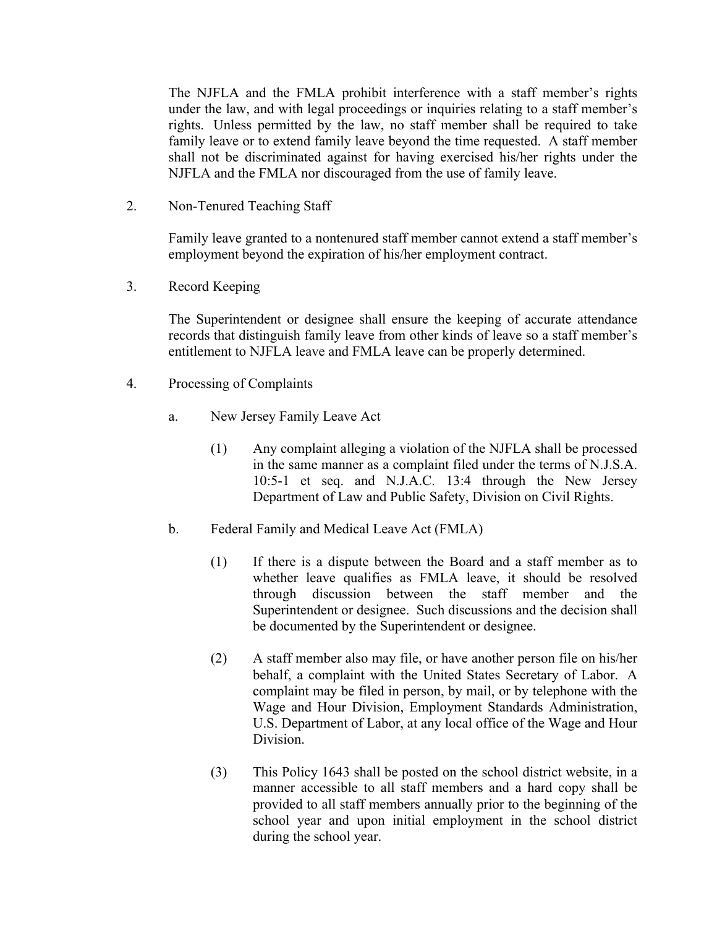The NJFLA and the FMLA prohibit interference with a staff member's rights under the law, and with legal proceedings or inquiries relating to a staff member's rights. Unless permitted by the law, no staff member shall be required to take family leave or to extend family leave beyond the time requested. A staff member shall not be discriminated against for having exercised his/her rights under the NJFLA and the FMLA nor discouraged from the use of family leave.

2. Non-Tenured Teaching Staff

Family leave granted to a nontenured staff member cannot extend a staff member's employment beyond the expiration of his/her employment contract.

3. Record Keeping

The Superintendent or designee shall ensure the keeping of accurate attendance records that distinguish family leave from other kinds of leave so a staff member's entitlement to NJFLA leave and FMLA leave can be properly determined.

- 4. Processing of Complaints
	- a. New Jersey Family Leave Act
		- (1) Any complaint alleging a violation of the NJFLA shall be processed in the same manner as a complaint filed under the terms of N.J.S.A. 10:5-1 et seq. and N.J.A.C. 13:4 through the New Jersey Department of Law and Public Safety, Division on Civil Rights.
	- b. Federal Family and Medical Leave Act (FMLA)
		- (1) If there is a dispute between the Board and a staff member as to whether leave qualifies as FMLA leave, it should be resolved through discussion between the staff member and the Superintendent or designee. Such discussions and the decision shall be documented by the Superintendent or designee.
		- (2) A staff member also may file, or have another person file on his/her behalf, a complaint with the United States Secretary of Labor. A complaint may be filed in person, by mail, or by telephone with the Wage and Hour Division, Employment Standards Administration, U.S. Department of Labor, at any local office of the Wage and Hour Division.
		- (3) This Policy 1643 shall be posted on the school district website, in a manner accessible to all staff members and a hard copy shall be provided to all staff members annually prior to the beginning of the school year and upon initial employment in the school district during the school year.